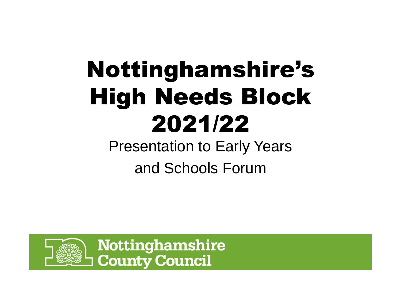# Nottinghamshire's High Needs Block 2021/22

Presentation to Early Yearsand Schools Forum

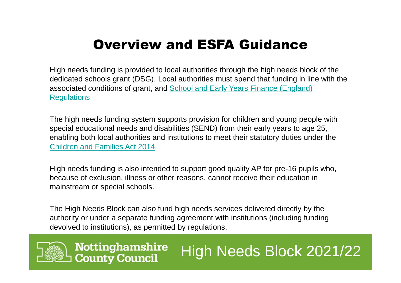#### Overview and ESFA Guidance

High needs funding is provided to local authorities through the high needs block of the dedicated schools grant (DSG). Local authorities must spend that funding in line with the associated conditions of grant, and School and Early Years Finance (England) **Regulations** 

The high needs funding system supports provision for children and young people with special educational needs and disabilities (SEND) from their early years to age 25, enabling both local authorities and institutions to meet their statutory duties under the Children and Families Act 2014.

High needs funding is also intended to support good quality AP for pre-16 pupils who, because of exclusion, illness or other reasons, cannot receive their education in mainstream or special schools.

The High Needs Block can also fund high needs services delivered directly by the authority or under a separate funding agreement with institutions (including funding devolved to institutions), as permitted by regulations.

High Needs Block 2021/22

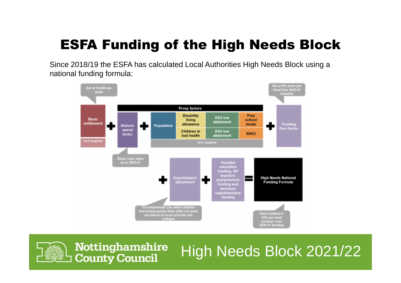### ESFA Funding of the High Needs Block

Since 2018/19 the ESFA has calculated Local Authorities High Needs Block using a national funding formula:



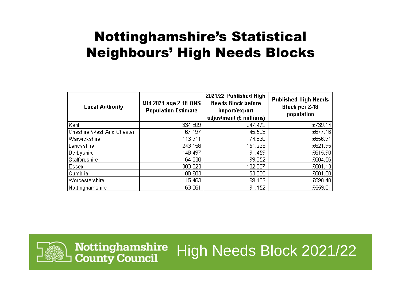#### Nottinghamshire's Statistical Neighbours' High Needs Blocks

| <b>Local Authority</b>    | Mid-2021 age 2-18 ONS<br><b>Population Estimate</b> | 2021/22 Published High<br><b>Needs Block before</b><br>import/export<br>adjustment (£ millions) | <b>Published High Needs</b><br><b>Block per 2-18</b><br>population |
|---------------------------|-----------------------------------------------------|-------------------------------------------------------------------------------------------------|--------------------------------------------------------------------|
| Kent                      | 334,809                                             | 247.472                                                                                         | £739.14                                                            |
| Cheshire West And Chester | 67,197                                              | 45.503                                                                                          | £677.16                                                            |
| Warwickshire              | 113,911                                             | 74.830                                                                                          | £656.91                                                            |
| Lancashire                | 243,158                                             | 151.233                                                                                         | £621.95                                                            |
| Derbyshire                | 148,497                                             | 91.459                                                                                          | £615.90                                                            |
| Staffordshire             | 164,338                                             | 99.352                                                                                          | £604.56                                                            |
| Essex                     | 303,323                                             | 182.337                                                                                         | £601.13                                                            |
| Cumbria                   | 88,683                                              | 53.305                                                                                          | £601.08                                                            |
| Worcestershire            | 115,463                                             | 69.102                                                                                          | £598.48                                                            |
| Nottinghamshire           | 163,061                                             | 91.152                                                                                          | £559.01                                                            |

High Needs Block 2021/22



Nottinghamshire

**County Council**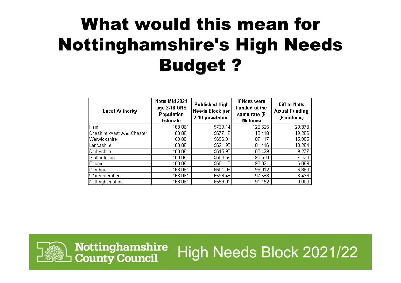# What would this mean for Nottinghamshire's High Needs Budget ?

| <b>Local Authority</b>    | Notts Mid-2021<br>age 2-18 ONS<br><b>Population</b><br><b>Estimate</b> | <b>Published High</b><br>Needs Block per<br>2-18 population | If Notts were<br><b>Funded at the</b><br>same rate (£<br>Millions) | <b>Diff to Notts</b><br><b>Actual Funding</b><br>(£ millions) |
|---------------------------|------------------------------------------------------------------------|-------------------------------------------------------------|--------------------------------------------------------------------|---------------------------------------------------------------|
| Kent                      | 163,061                                                                | £739.14                                                     | 120.525                                                            | 29.373                                                        |
| Cheshire West And Chester | 163,061                                                                | £677.16                                                     | 110.418                                                            | 19.266                                                        |
| Warwickshire              | 163,061                                                                | £656.91                                                     | 107.117                                                            | 15.965                                                        |
| Lancashire                | 163,061                                                                | £621.95                                                     | 101.416                                                            | 10.264                                                        |
| Derbyshire                | 163,061                                                                | £615.90                                                     | 100.429                                                            | 9.277                                                         |
| Staffordshire             | 163,061                                                                | £604.56                                                     | 98.580                                                             | 7.428                                                         |
| Essex                     | 163,061                                                                | £601.13                                                     | 98.021                                                             | 6.869                                                         |
| Cumbria                   | 163,061                                                                | £601.08                                                     | 98.012                                                             | 6.860                                                         |
| Worcestershire            | 163,061                                                                | £598.48                                                     | 97.588                                                             | 6.436                                                         |
| Nottinghamshire           | 163,061                                                                | £559.01                                                     | 91.152                                                             | 0.000                                                         |



Nottinghamshire High Needs Block 2021/22 **County Council**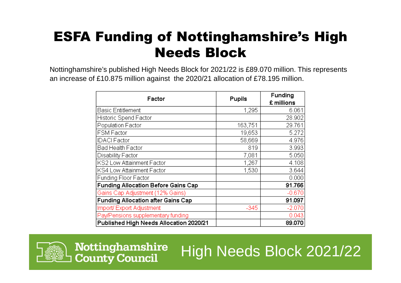### ESFA Funding of Nottinghamshire's High Needs Block

 Nottinghamshire's published High Needs Block for 2021/22 is £89.070 million. This represents an increase of £10.875 million against the 2020/21 allocation of £78.195 million.

| Factor                                     | <b>Pupils</b> | <b>Funding</b> |
|--------------------------------------------|---------------|----------------|
|                                            |               | £ millions     |
| <b>Basic Entitlement</b>                   | 1,295         | 6.061          |
| Historic Spend Factor                      |               | 28.902         |
| Population Factor                          | 163,751       | 29.761         |
| <b>FSM Factor</b>                          | 19,653        | 5.272          |
| <b>IDACI Factor</b>                        | 58,669        | 4.976          |
| Bad Health Factor                          | 819           | 3.993          |
| Disability Factor                          | 7,081         | 5.050          |
| KS2 Low Attainment Factor                  | 1,267         | 4.108          |
| KS4 Low Attainment Factor                  | 1,530         | 3.644          |
| Funding Floor Factor                       |               | 0.000          |
| <b>Funding Allocation Before Gains Cap</b> |               | 91.766         |
| Gains Cap Adjustment (12% Gains)           |               | $-0.670$       |
| <b>Funding Allocation after Gains Cap</b>  |               | 91.097         |
| Import/Export Adjustment                   | $-345$        | $-2.070$       |
| Pay/Pensions supplementary funding         |               | 0.043          |
| Published High Needs Allocation 2020/21    |               | 89.070         |



Nottinghamshire **County Council**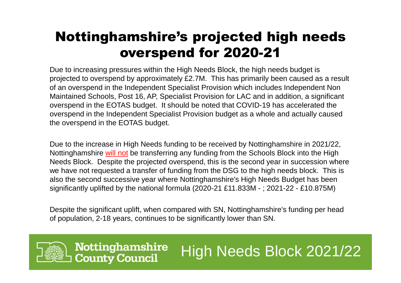### Nottinghamshire's projected high needs overspend for 2020-21

 Due to increasing pressures within the High Needs Block, the high needs budget is projected to overspend by approximately £2.7M. This has primarily been caused as a result of an overspend in the Independent Specialist Provision which includes Independent Non Maintained Schools, Post 16, AP, Specialist Provision for LAC and in addition, a significant overspend in the EOTAS budget. It should be noted that COVID-19 has accelerated the overspend in the Independent Specialist Provision budget as a whole and actually caused the overspend in the EOTAS budget.

Due to the increase in High Needs funding to be received by Nottinghamshire in 2021/22, Nottinghamshire <u>will not</u> be transferring any funding from the Schools Block into the High Needs Block. Despite the projected overspend, this is the second year in succession where we have not requested a transfer of funding from the DSG to the high needs block. This is also the second successive year where Nottinghamshire's High Needs Budget has been significantly uplifted by the national formula (2020-21 £11.833M - ; 2021-22 - £10.875M)

Despite the significant uplift, when compared with SN, Nottinghamshire's funding per head of population, 2-18 years, continues to be significantly lower than SN.



**Nottinghamshire County Council**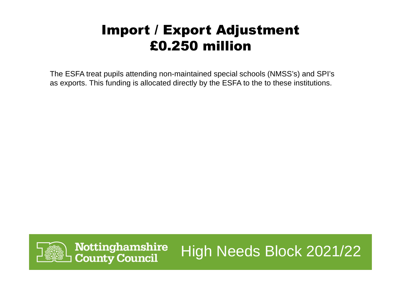### Import / Export Adjustment £0.250 million

The ESFA treat pupils attending non-maintained special schools (NMSS's) and SPI's as exports. This funding is allocated directly by the ESFA to the to these institutions.

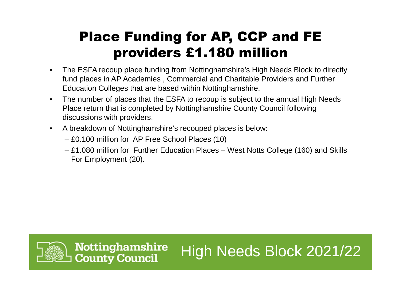### Place Funding for AP, CCP and FE providers £1.180 million

- $\bullet$  The ESFA recoup place funding from Nottinghamshire's High Needs Block to directly fund places in AP Academies , Commercial and Charitable Providers and Further Education Colleges that are based within Nottinghamshire.
- $\bullet$  The number of places that the ESFA to recoup is subject to the annual High Needs Place return that is completed by Nottinghamshire County Council following discussions with providers.
- $\bullet$  A breakdown of Nottinghamshire's recouped places is below:
	- £0.100 million for AP Free School Places (10)
	- £1.080 million for Further Education Places West Notts College (160) and Skills For Employment (20).



**Nottinghamshire County Council**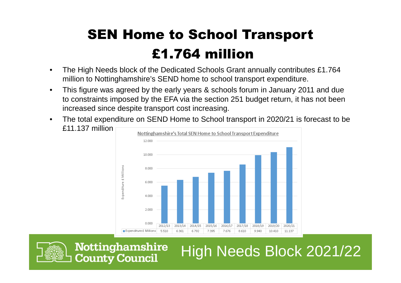### SEN Home to School Transport£1.764 million

- The High Needs block of the Dedicated Schools Grant annually contributes £1.764 •million to Nottinghamshire's SEND home to school transport expenditure.
- $\bullet$  This figure was agreed by the early years & schools forum in January 2011 and due to constraints imposed by the EFA via the section 251 budget return, it has not been increased since despite transport cost increasing.
- $\bullet$  The total expenditure on SEND Home to School transport in 2020/21 is forecast to be £11.137 million



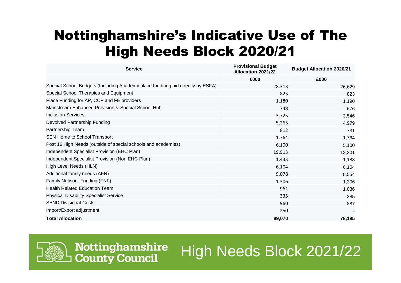### Nottinghamshire's Indicative Use of The High Needs Block 2020/21

| <b>Service</b>                                                                 | <b>Provisional Budget</b><br>Allocation 2021/22 | <b>Budget Allocation 2020/21</b> |
|--------------------------------------------------------------------------------|-------------------------------------------------|----------------------------------|
|                                                                                | £000                                            | £000                             |
| Special School Budgets (Including Academy place funding paid directly by ESFA) | 28,313                                          | 26,629                           |
| Special School Therapies and Equipment                                         | 823                                             | 823                              |
| Place Funding for AP, CCP and FE providers                                     | 1,180                                           | 1,190                            |
| Mainstream Enhanced Provision & Special School Hub                             | 748                                             | 676                              |
| <b>Inclusion Services</b>                                                      | 3,725                                           | 3,546                            |
| Devolved Partnership Funding                                                   | 5,265                                           | 4,979                            |
| Partnership Team                                                               | 812                                             | 731                              |
| SEN Home to School Transport                                                   | 1,764                                           | 1,764                            |
| Post 16 High Needs (outside of special schools and academies)                  | 6,100                                           | 5,100                            |
| Independent Specialist Provision (EHC Plan)                                    | 19,913                                          | 13,301                           |
| Independent Specialist Provision (Non EHC Plan)                                | 1,433                                           | 1,183                            |
| High Level Needs (HLN)                                                         | 6,104                                           | 6,104                            |
| Additional family needs (AFN)                                                  | 9,078                                           | 8,554                            |
| Family Network Funding (FNF)                                                   | 1,306                                           | 1,306                            |
| <b>Health Related Education Team</b>                                           | 961                                             | 1,036                            |
| <b>Physical Disability Specialist Service</b>                                  | 335                                             | 385                              |
| <b>SEND Divisional Costs</b>                                                   | 960                                             | 887                              |
| Import/Export adjustment                                                       | 250                                             |                                  |
| <b>Total Allocation</b>                                                        | 89,070                                          | 78,195                           |



Nottinghamshire **County Council**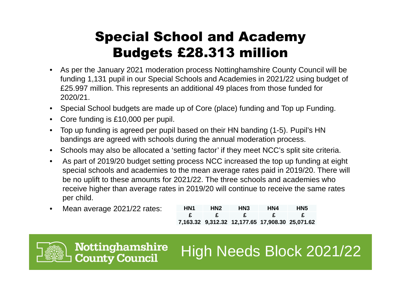### Special School and Academy Budgets £28.313 million

- As per the January 2021 moderation process Nottinghamshire County Council will be  $\bullet$ funding 1,131 pupil in our Special Schools and Academies in 2021/22 using budget of £25.997 million. This represents an additional 49 places from those funded for 2020/21.
- Special School budgets are made up of Core (place) funding and Top up Funding.
- Core funding is £10,000 per pupil.
- $\bullet$  Top up funding is agreed per pupil based on their HN banding (1-5). Pupil's HN bandings are agreed with schools during the annual moderation process.
- Schools may also be allocated a 'setting factor' if they meet NCC's split site criteria.
- $\bullet$  As part of 2019/20 budget setting process NCC increased the top up funding at eight special schools and academies to the mean average rates paid in 2019/20. There will be no uplift to these amounts for 2021/22. The three schools and academies who receive higher than average rates in 2019/20 will continue to receive the same rates per child.
- $\bullet$ Mean average 2021/22 rates:

| HN1          | HN <sub>2</sub> | HN <sub>3</sub>                                 | HN4          | HN <sub>5</sub> |
|--------------|-----------------|-------------------------------------------------|--------------|-----------------|
| $\mathbf{F}$ | - 62            | $\mathbf{F}$                                    | $\mathbf{F}$ | f.              |
|              |                 | 7,163.32 9,312.32 12,177.65 17,908.30 25,071.62 |              |                 |



**Nottinghamshire County Council**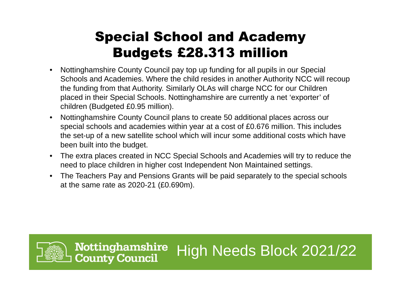### Special School and Academy Budgets £28.313 million

- Nottinghamshire County Council pay top up funding for all pupils in our Special  $\bullet$ Schools and Academies. Where the child resides in another Authority NCC will recoup the funding from that Authority. Similarly OLAs will charge NCC for our Children placed in their Special Schools. Nottinghamshire are currently a net 'exporter' of children (Budgeted £0.95 million).
- $\bullet$  Nottinghamshire County Council plans to create 50 additional places across our special schools and academies within year at a cost of £0.676 million. This includes the set-up of a new satellite school which will incur some additional costs which have been built into the budget.
- $\bullet$  The extra places created in NCC Special Schools and Academies will try to reduce the need to place children in higher cost Independent Non Maintained settings.
- $\bullet$  The Teachers Pay and Pensions Grants will be paid separately to the special schools at the same rate as 2020-21 (£0.690m).

High Needs Block 2021/22



**Nottinghamshire** 

**County Council**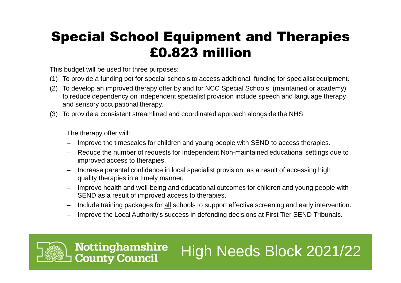### Special School Equipment and Therapies £0.823 million

This budget will be used for three purposes:

**Nottinghamshire** 

**County Council** 

- (1) To provide a funding pot for special schools to access additional funding for specialist equipment.
- (2) To develop an improved therapy offer by and for NCC Special Schools (maintained or academy) to reduce dependency on independent specialist provision include speech and language therapy and sensory occupational therapy.
- (3) To provide a consistent streamlined and coordinated approach alongside the NHS

The therapy offer will:

- Improve the timescales for children and young people with SEND to access therapies.
- – Reduce the number of requests for Independent Non-maintained educational settings due to improved access to therapies.
- – Increase parental confidence in local specialist provision, as a result of accessing high quality therapies in a timely manner.
- Improve health and well-being and educational outcomes for children and young people with SEND as a result of improved access to therapies.
- –Include training packages for all schools to support effective screening and early intervention.

High Needs Block 2021/22

Improve the Local Authority's success in defending decisions at First Tier SEND Tribunals.

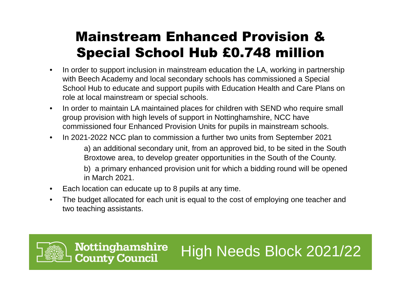### Mainstream Enhanced Provision & Special School Hub £0.748 million

- $\bullet$  In order to support inclusion in mainstream education the LA, working in partnership with Beech Academy and local secondary schools has commissioned a Special School Hub to educate and support pupils with Education Health and Care Plans on role at local mainstream or special schools.
- $\bullet$  In order to maintain LA maintained places for children with SEND who require small group provision with high levels of support in Nottinghamshire, NCC have commissioned four Enhanced Provision Units for pupils in mainstream schools.
- •In 2021-2022 NCC plan to commission a further two units from September 2021

a) an additional secondary unit, from an approved bid, to be sited in the South Broxtowe area, to develop greater opportunities in the South of the County.

b) a primary enhanced provision unit for which a bidding round will be opened in March 2021.

High Needs Block 2021/22

- $\bullet$ Each location can educate up to 8 pupils at any time.
- $\bullet$  The budget allocated for each unit is equal to the cost of employing one teacher and two teaching assistants.

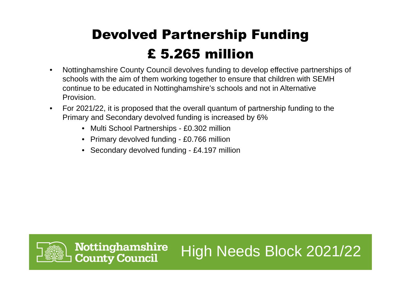### Devolved Partnership Funding £ 5.265 million

 Nottinghamshire County Council devolves funding to develop effective partnerships of  $\bullet$ schools with the aim of them working together to ensure that children with SEMH continue to be educated in Nottinghamshire's schools and not in Alternative Provision.

- $\bullet$  For 2021/22, it is proposed that the overall quantum of partnership funding to the Primary and Secondary devolved funding is increased by 6%
	- Multi School Partnerships £0.302 million
	- Primary devolved funding £0.766 million
	- Secondary devolved funding £4.197 million

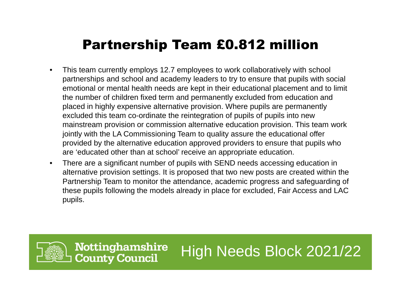#### Partnership Team £0.812 million

- $\bullet$  This team currently employs 12.7 employees to work collaboratively with school partnerships and school and academy leaders to try to ensure that pupils with social emotional or mental health needs are kept in their educational placement and to limit the number of children fixed term and permanently excluded from education and placed in highly expensive alternative provision. Where pupils are permanently excluded this team co-ordinate the reintegration of pupils of pupils into new mainstream provision or commission alternative education provision. This team work jointly with the LA Commissioning Team to quality assure the educational offer provided by the alternative education approved providers to ensure that pupils who are 'educated other than at school' receive an appropriate education.
- • There are a significant number of pupils with SEND needs accessing education in alternative provision settings. It is proposed that two new posts are created within the Partnership Team to monitor the attendance, academic progress and safeguarding of these pupils following the models already in place for excluded, Fair Access and LAC pupils.

High Needs Block 2021/22

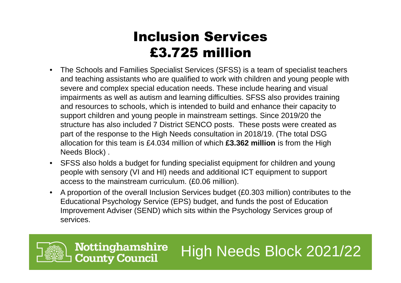### Inclusion Services £3.725 million

- The Schools and Families Specialist Services (SFSS) is a team of specialist teachers  $\bullet$ and teaching assistants who are qualified to work with children and young people with severe and complex special education needs. These include hearing and visual impairments as well as autism and learning difficulties. SFSS also provides training and resources to schools, which is intended to build and enhance their capacity to support children and young people in mainstream settings. Since 2019/20 the structure has also included 7 District SENCO posts. These posts were created as part of the response to the High Needs consultation in 2018/19. (The total DSG allocation for this team is £4.034 million of which **£3.362 million** is from the High Needs Block) .
- SFSS also holds a budget for funding specialist equipment for children and young people with sensory (VI and HI) needs and additional ICT equipment to support access to the mainstream curriculum. (£0.06 million).
- $\bullet$  A proportion of the overall Inclusion Services budget (£0.303 million) contributes to the Educational Psychology Service (EPS) budget, and funds the post of Education Improvement Adviser (SEND) which sits within the Psychology Services group of services.

High Needs Block 2021/22

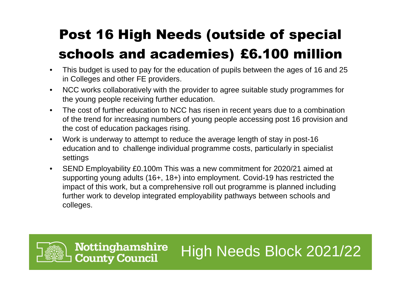### Post 16 High Needs (outside of special schools and academies) £6.100 million

- $\bullet$  This budget is used to pay for the education of pupils between the ages of 16 and 25 in Colleges and other FE providers.
- $\bullet$  NCC works collaboratively with the provider to agree suitable study programmes for the young people receiving further education.
- • The cost of further education to NCC has risen in recent years due to a combination of the trend for increasing numbers of young people accessing post 16 provision and the cost of education packages rising.
- $\bullet$  Work is underway to attempt to reduce the average length of stay in post-16 education and to challenge individual programme costs, particularly in specialist settings
- • SEND Employability £0.100m This was a new commitment for 2020/21 aimed at supporting young adults (16+, 18+) into employment. Covid-19 has restricted the impact of this work, but a comprehensive roll out programme is planned including further work to develop integrated employability pathways between schools and colleges.

High Needs Block 2021/22

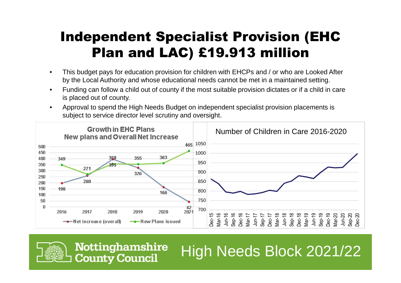### Independent Specialist Provision (EHC Plan and LAC) £19.913 million

- • This budget pays for education provision for children with EHCPs and / or who are Looked After by the Local Authority and whose educational needs cannot be met in a maintained setting.
- • Funding can follow a child out of county if the most suitable provision dictates or if a child in care is placed out of county.
- • Approval to spend the High Needs Budget on independent specialist provision placements is subject to service director level scrutiny and oversight.





**Nottinghamshire County Council**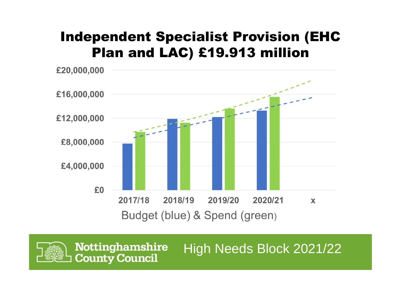#### Independent Specialist Provision (EHC Plan and LAC) £19.913 million



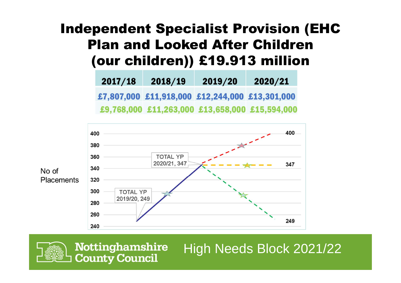### Independent Specialist Provision (EHC Plan and Looked After Children (our children)) £19.913 million

| 2017/18 | 2018/19 | 2019/20                                        | 2020/21 |
|---------|---------|------------------------------------------------|---------|
|         |         | £7,807,000 £11,918,000 £12,244,000 £13,301,000 |         |
|         |         | £9,768,000 £11,263,000 £13,658,000 £15,594,000 |         |





**Nottinghamshire** High Needs Block 2021/22**County Council**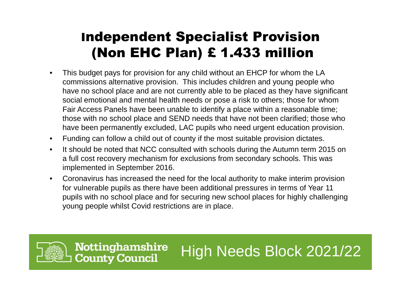### Independent Specialist Provision(Non EHC Plan) £ 1.433 million

- • This budget pays for provision for any child without an EHCP for whom the LA commissions alternative provision. This includes children and young people who have no school place and are not currently able to be placed as they have significant social emotional and mental health needs or pose a risk to others; those for whom Fair Access Panels have been unable to identify a place within a reasonable time; those with no school place and SEND needs that have not been clarified; those who have been permanently excluded, LAC pupils who need urgent education provision.
- $\bullet$ Funding can follow a child out of county if the most suitable provision dictates.
- $\bullet$  It should be noted that NCC consulted with schools during the Autumn term 2015 on a full cost recovery mechanism for exclusions from secondary schools. This was implemented in September 2016.
- $\bullet$  Coronavirus has increased the need for the local authority to make interim provision for vulnerable pupils as there have been additional pressures in terms of Year 11 pupils with no school place and for securing new school places for highly challenging young people whilst Covid restrictions are in place.

High Needs Block 2021/22

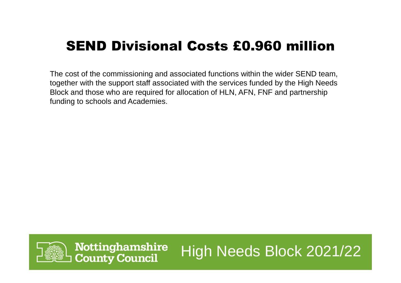### SEND Divisional Costs £0.960 million

The cost of the commissioning and associated functions within the wider SEND team, together with the support staff associated with the services funded by the High Needs Block and those who are required for allocation of HLN, AFN, FNF and partnership funding to schools and Academies.

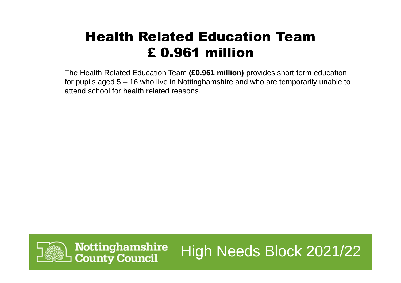### Health Related Education Team£ 0.961 million

The Health Related Education Team **(£0.961 million)** provides short term education for pupils aged 5 – 16 who live in Nottinghamshire and who are temporarily unable to attend school for health related reasons.

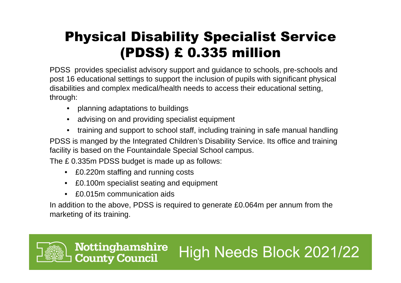### Physical Disability Specialist Service(PDSS) £ 0.335 million

PDSS provides specialist advisory support and guidance to schools, pre-schools and post 16 educational settings to support the inclusion of pupils with significant physical disabilities and complex medical/health needs to access their educational setting, through:

- $\bullet$ planning adaptations to buildings
- •advising on and providing specialist equipment
- •training and support to school staff, including training in safe manual handling

PDSS is manged by the Integrated Children's Disability Service. Its office and training facility is based on the Fountaindale Special School campus.

The £ 0.335m PDSS budget is made up as follows:

- £0.220m staffing and running costs
- •£0.100m specialist seating and equipment
- •£0.015m communication aids

**Nottinghamshire** 

**County Council** 

In addition to the above, PDSS is required to generate £0.064m per annum from the marketing of its training.

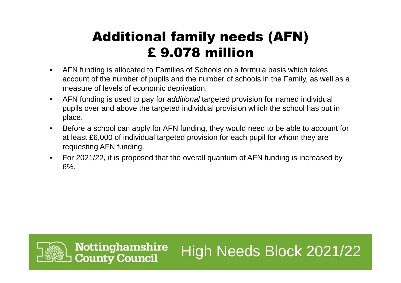### Additional family needs (AFN)£ 9.078 million

- $\bullet$  AFN funding is allocated to Families of Schools on a formula basis which takes account of the number of pupils and the number of schools in the Family, as well as a measure of levels of economic deprivation.
- $\bullet$  AFN funding is used to pay for additional targeted provision for named individual pupils over and above the targeted individual provision which the school has put in place.
- $\bullet$  Before a school can apply for AFN funding, they would need to be able to account for at least £6,000 of individual targeted provision for each pupil for whom they are requesting AFN funding.
- $\bullet$  For 2021/22, it is proposed that the overall quantum of AFN funding is increased by 6%.

High Needs Block 2021/22

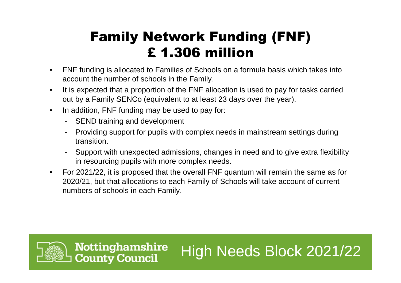### Family Network Funding (FNF)£ 1.306 million

- $\bullet$  FNF funding is allocated to Families of Schools on a formula basis which takes into account the number of schools in the Family.
- $\bullet$  It is expected that a proportion of the FNF allocation is used to pay for tasks carried out by a Family SENCo (equivalent to at least 23 days over the year).
- $\bullet$  In addition, FNF funding may be used to pay for:
	- SEND training and development
	- Providing support for pupils with complex needs in mainstream settings during transition.
	- Support with unexpected admissions, changes in need and to give extra flexibility in resourcing pupils with more complex needs.

High Needs Block 2021/22

• For 2021/22, it is proposed that the overall FNF quantum will remain the same as for 2020/21, but that allocations to each Family of Schools will take account of current numbers of schools in each Family.

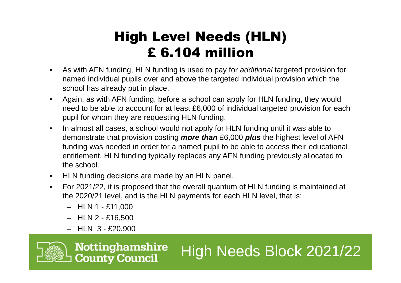### High Level Needs (HLN)£ 6.104 million

- $\bullet$  As with AFN funding, HLN funding is used to pay for additional targeted provision for named individual pupils over and above the targeted individual provision which the school has already put in place.
- $\bullet$  Again, as with AFN funding, before a school can apply for HLN funding, they would need to be able to account for at least £6,000 of individual targeted provision for each pupil for whom they are requesting HLN funding.
- $\bullet$  In almost all cases, a school would not apply for HLN funding until it was able to demonstrate that provision costing **more than** £6,000 **plus** the highest level of AFN funding was needed in order for a named pupil to be able to access their educational entitlement. HLN funding typically replaces any AFN funding previously allocated to the school.
- HLN funding decisions are made by an HLN panel.
- • For 2021/22, it is proposed that the overall quantum of HLN funding is maintained at the 2020/21 level, and is the HLN payments for each HLN level, that is:

High Needs Block 2021/22

- HLN 1 £11,000
- HLN 2 £16,500
- HLN 3 £20,900

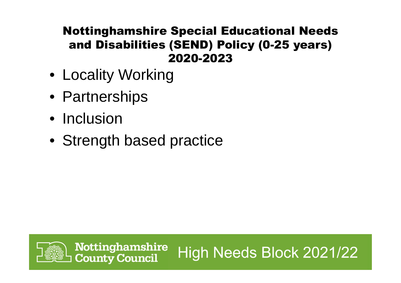#### Nottinghamshire Special Educational Needs and Disabilities (SEND) Policy (0-25 years) 2020-2023

High Needs Block 2021/22

- Locality Working
- Partnerships
- Inclusion
- Strength based practice

**Nottinghamshire** 

**County Council**